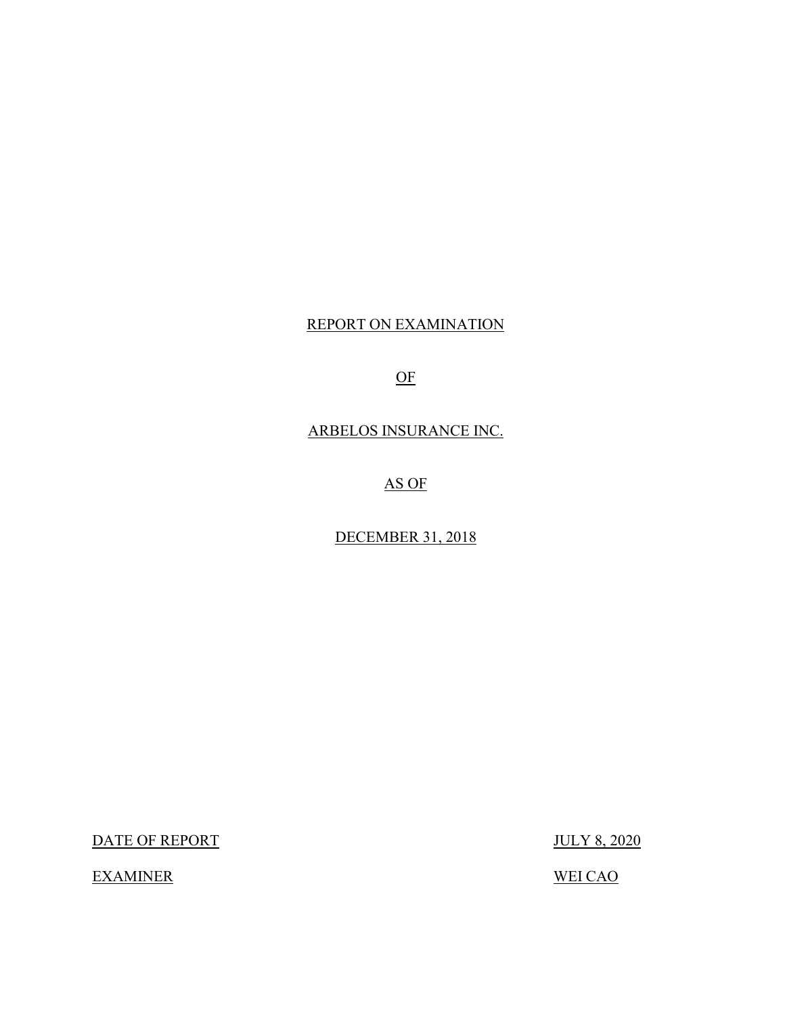## REPORT ON EXAMINATION

OF

ARBELOS INSURANCE INC.

AS OF

DECEMBER 31, 2018

DATE OF REPORT JULY 8, 2020

**EXAMINER** 

**WEI CAO**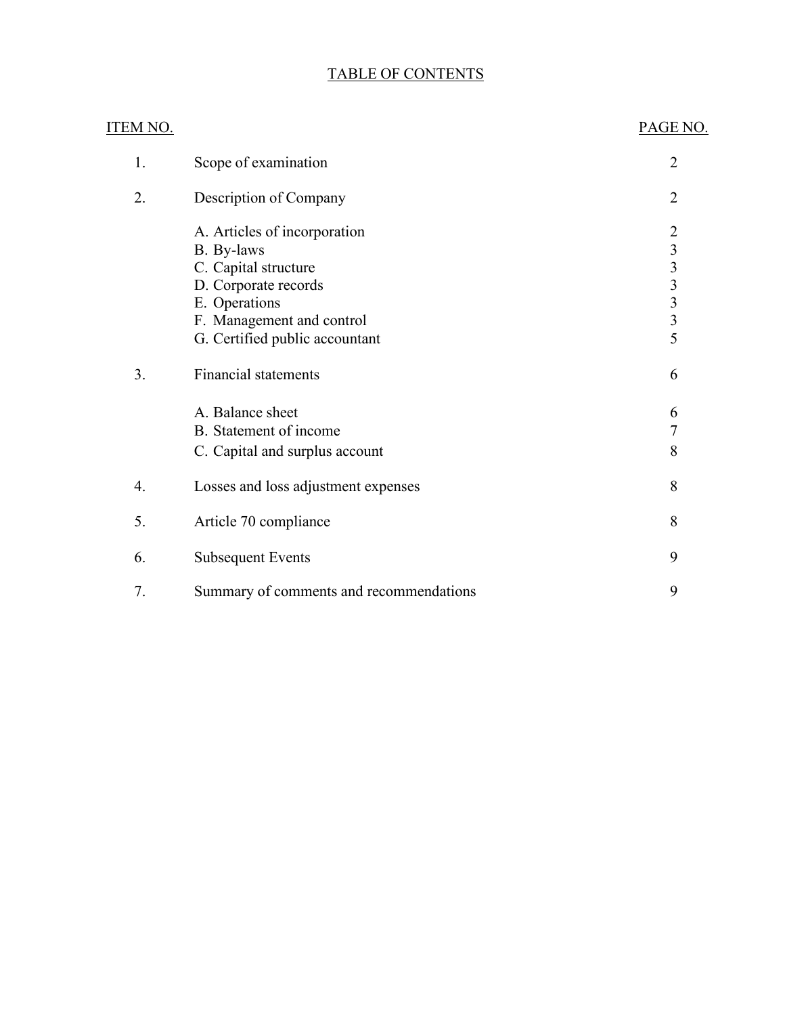## TABLE OF CONTENTS

| <u>ITEM NO.</u> |                                         | PAGE NO.          |
|-----------------|-----------------------------------------|-------------------|
| 1.              | Scope of examination                    | $\overline{2}$    |
| 2.              | Description of Company                  | $\overline{2}$    |
|                 | A. Articles of incorporation            |                   |
|                 | B. By-laws                              |                   |
|                 | C. Capital structure                    |                   |
|                 | D. Corporate records                    | $2$ 3 3 3 3 3 5 5 |
|                 | E. Operations                           |                   |
|                 | F. Management and control               |                   |
|                 | G. Certified public accountant          |                   |
| 3.              | <b>Financial statements</b>             | 6                 |
|                 | A. Balance sheet                        | 6                 |
|                 | B. Statement of income                  | $\overline{7}$    |
|                 | C. Capital and surplus account          | 8                 |
| 4.              | Losses and loss adjustment expenses     | 8                 |
| 5.              | Article 70 compliance                   | 8                 |
| 6.              | <b>Subsequent Events</b>                | 9                 |
| 7.              | Summary of comments and recommendations | 9                 |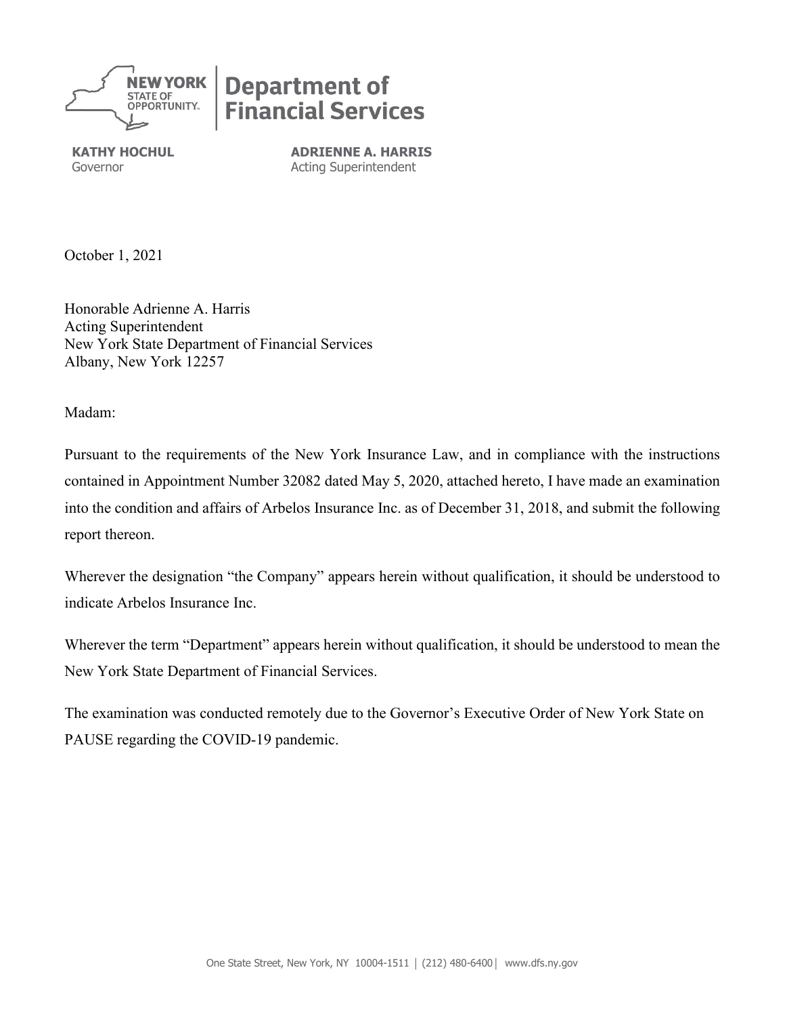

# **Department of<br>Financial Services**

**KATHY HOCHUL ADRIENNE A. HARRIS** Governor **Acting Superintendent** 

October 1, 2021

 Honorable Adrienne A. Harris New York State Department of Financial Services Albany, New York 12257 Acting Superintendent

Madam:

 contained in Appointment Number 32082 dated May 5, 2020, attached hereto, I have made an examination into the condition and affairs of Arbelos Insurance Inc. as of December 31, 2018, and submit the following report thereon. Pursuant to the requirements of the New York Insurance Law, and in compliance with the instructions

 indicate Arbelos Insurance Inc. Wherever the designation "the Company" appears herein without qualification, it should be understood to

 Wherever the term "Department" appears herein without qualification, it should be understood to mean the New York State Department of Financial Services.

The examination was conducted remotely due to the Governor's Executive Order of New York State on PAUSE regarding the COVID-19 pandemic.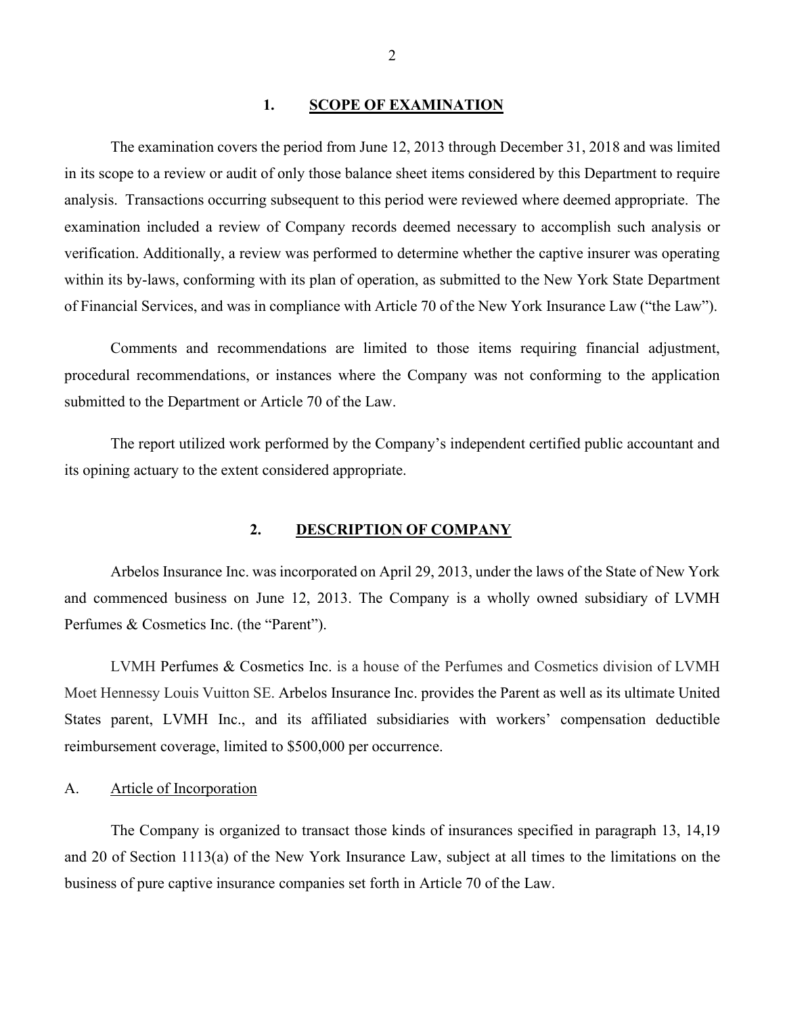## **1. SCOPE OF EXAMINATION**

<span id="page-3-2"></span><span id="page-3-0"></span> The examination covers the period from June 12, 2013 through December 31, 2018 and was limited analysis. Transactions occurring subsequent to this period were reviewed where deemed appropriate. The of Financial Services, and was in compliance with Article 70 of the New York Insurance Law ("the Law"). in its scope to a review or audit of only those balance sheet items considered by this Department to require examination included a review of Company records deemed necessary to accomplish such analysis or verification. Additionally, a review was performed to determine whether the captive insurer was operating within its by-laws, conforming with its plan of operation, as submitted to the New York State Department

 Comments and recommendations are limited to those items requiring financial adjustment, submitted to the Department or Article 70 of the Law. procedural recommendations, or instances where the Company was not conforming to the application

The report utilized work performed by the Company's independent certified public accountant and its opining actuary to the extent considered appropriate.

## **2. DESCRIPTION OF COMPANY**

<span id="page-3-1"></span> Arbelos Insurance Inc. was incorporated on April 29, 2013, under the laws of the State of New York Perfumes & Cosmetics Inc. (the "Parent"). and commenced business on June 12, 2013. The Company is a wholly owned subsidiary of LVMH

 LVMH Perfumes & Cosmetics Inc. is a house of the Perfumes and Cosmetics division of LVMH Moet Hennessy Louis Vuitton SE. Arbelos Insurance Inc. provides the Parent as well as its ultimate United States parent, LVMH Inc., and its affiliated subsidiaries with workers' compensation deductible reimbursement coverage, limited to \$500,000 per occurrence.

## A. Article of Incorporation

 business of pure captive insurance companies set forth in Article 70 of the Law. The Company is organized to transact those kinds of insurances specified in paragraph 13, 14,19 and 20 of Section 1113(a) of the New York Insurance Law, subject at all times to the limitations on the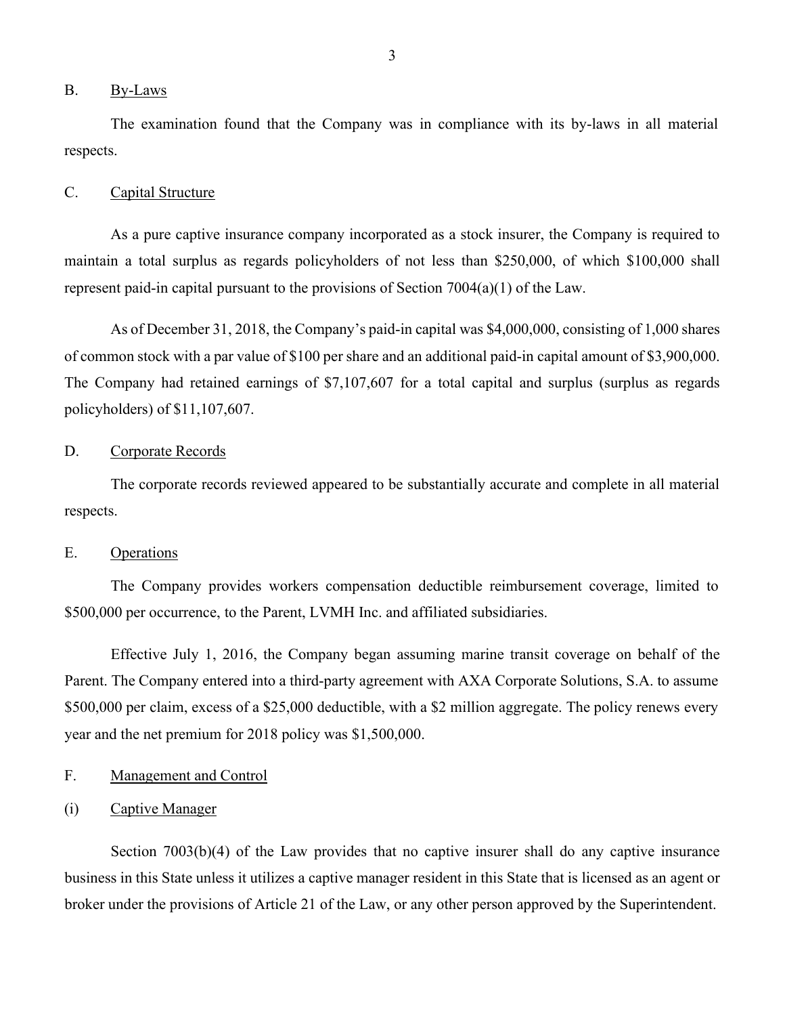#### <span id="page-4-3"></span>B. By-Laws

 The examination found that the Company was in compliance with its by-laws in all material respects.

## <span id="page-4-0"></span>C. Capital Structure

 represent paid-in capital pursuant to the provisions of Section 7004(a)(1) of the Law. As a pure captive insurance company incorporated as a stock insurer, the Company is required to maintain a total surplus as regards policyholders of not less than \$250,000, of which \$100,000 shall

 As of December 31, 2018, the Company's paid-in capital was \$4,000,000, consisting of 1,000 shares of common stock with a par value of \$100 per share and an additional paid-in capital amount of \$3,900,000. policyholders) of \$11,107,607. The Company had retained earnings of \$7,107,607 for a total capital and surplus (surplus as regards

## <span id="page-4-1"></span>D. Corporate Records

The corporate records reviewed appeared to be substantially accurate and complete in all material respects.

## <span id="page-4-2"></span>E. Operations

 The Company provides workers compensation deductible reimbursement coverage, limited to \$500,000 per occurrence, to the Parent, LVMH Inc. and affiliated subsidiaries.

 Parent. The Company entered into a third-party agreement with AXA Corporate Solutions, S.A. to assume \$500,000 per claim, excess of a \$25,000 deductible, with a \$2 million aggregate. The policy renews every year and the net premium for 2018 policy was \$1,500,000. Effective July 1, 2016, the Company began assuming marine transit coverage on behalf of the

## F. Management and Control

## (i) Captive Manager

 business in this State unless it utilizes a captive manager resident in this State that is licensed as an agent or broker under the provisions of Article 21 of the Law, or any other person approved by the Superintendent. Section 7003(b)(4) of the Law provides that no captive insurer shall do any captive insurance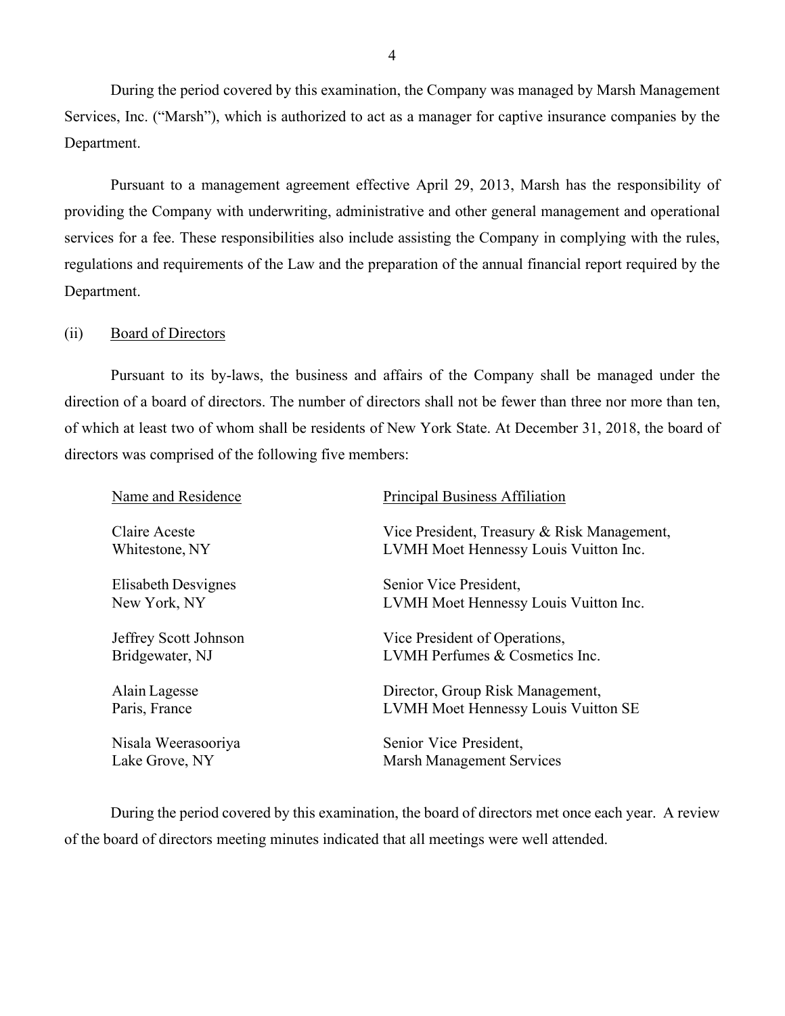During the period covered by this examination, the Company was managed by Marsh Management Services, Inc. ("Marsh"), which is authorized to act as a manager for captive insurance companies by the Department.

 Pursuant to a management agreement effective April 29, 2013, Marsh has the responsibility of services for a fee. These responsibilities also include assisting the Company in complying with the rules, providing the Company with underwriting, administrative and other general management and operational regulations and requirements of the Law and the preparation of the annual financial report required by the Department.

## (ii) Board of Directors

 directors was comprised of the following five members: Pursuant to its by-laws, the business and affairs of the Company shall be managed under the direction of a board of directors. The number of directors shall not be fewer than three nor more than ten, of which at least two of whom shall be residents of New York State. At December 31, 2018, the board of

| Name and Residence    | Principal Business Affiliation              |
|-----------------------|---------------------------------------------|
| Claire Aceste         | Vice President, Treasury & Risk Management, |
| Whitestone, NY        | LVMH Moet Hennessy Louis Vuitton Inc.       |
| Elisabeth Desvignes   | Senior Vice President,                      |
| New York, NY          | LVMH Moet Hennessy Louis Vuitton Inc.       |
| Jeffrey Scott Johnson | Vice President of Operations,               |
| Bridgewater, NJ       | LVMH Perfumes & Cosmetics Inc.              |
| Alain Lagesse         | Director, Group Risk Management,            |
| Paris, France         | LVMH Moet Hennessy Louis Vuitton SE         |
| Nisala Weerasooriya   | Senior Vice President,                      |
| Lake Grove, NY        | <b>Marsh Management Services</b>            |
|                       |                                             |

 During the period covered by this examination, the board of directors met once each year. A review of the board of directors meeting minutes indicated that all meetings were well attended.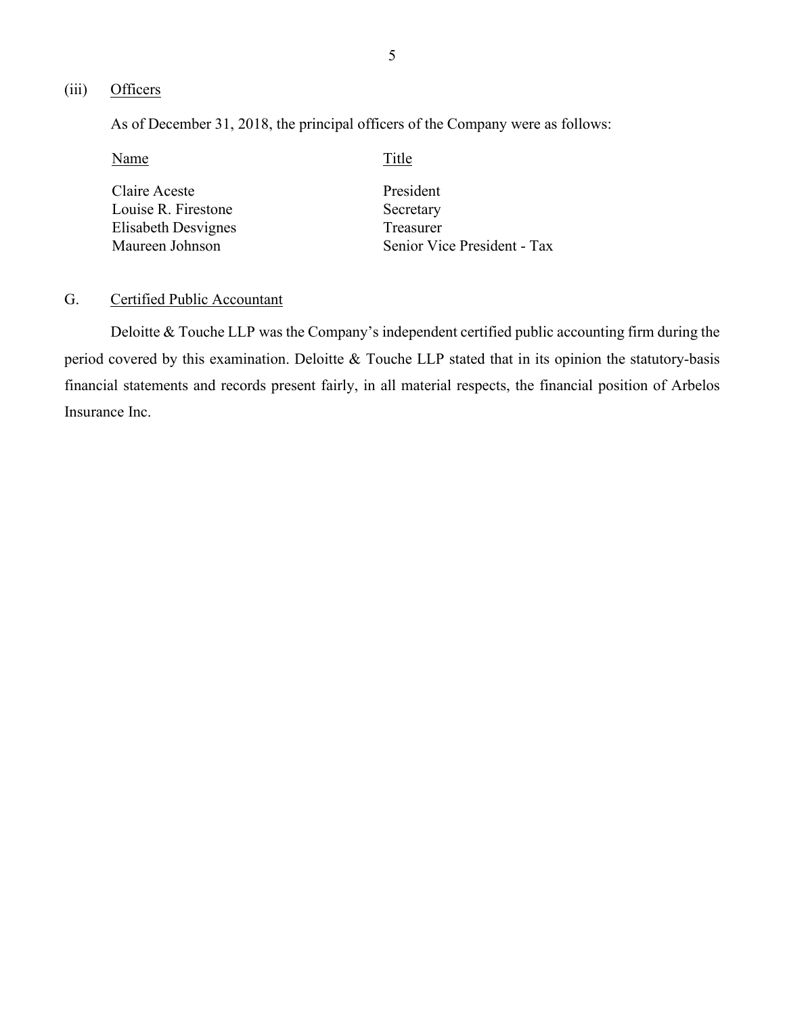## <span id="page-6-0"></span>(iii) Officers

As of December 31, 2018, the principal officers of the Company were as follows:

| Name                | Title                       |
|---------------------|-----------------------------|
| Claire Aceste       | President                   |
| Louise R. Firestone | Secretary                   |
| Elisabeth Desvignes | Treasurer                   |
| Maureen Johnson     | Senior Vice President - Tax |

## G. Certified Public Accountant

 Deloitte & Touche LLP was the Company's independent certified public accounting firm during the period covered by this examination. Deloitte & Touche LLP stated that in its opinion the statutory-basis financial statements and records present fairly, in all material respects, the financial position of Arbelos Insurance Inc.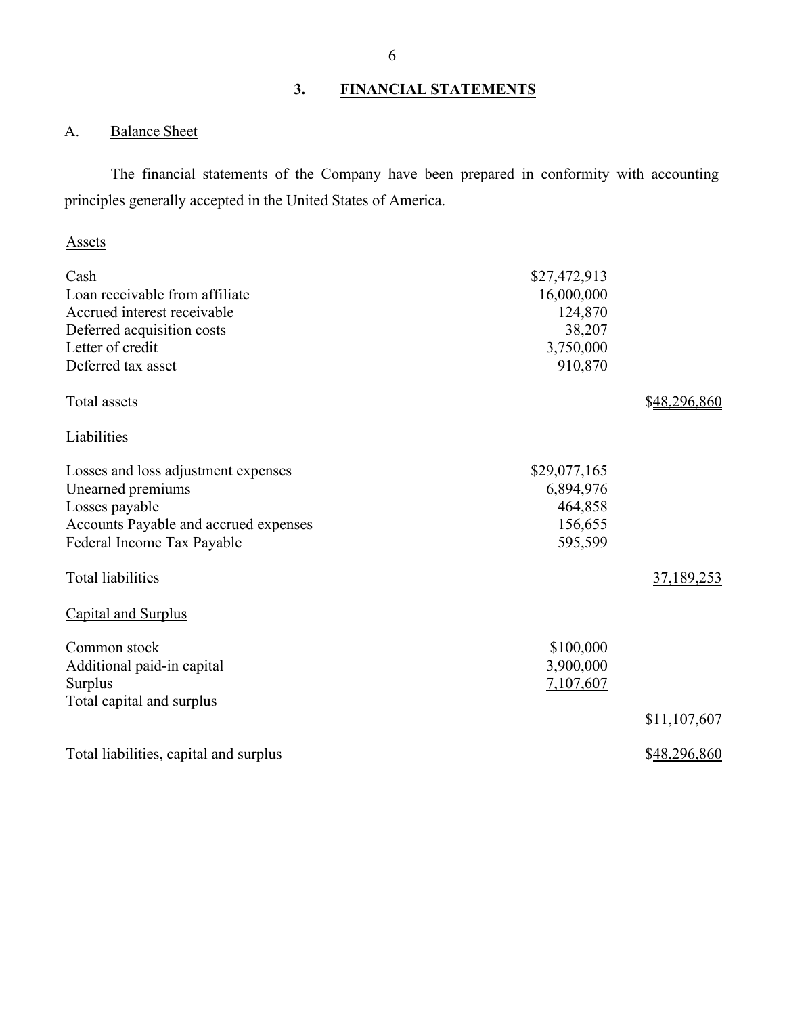## **3. FINANCIAL STATEMENTS**

## A. Balance Sheet

 The financial statements of the Company have been prepared in conformity with accounting principles generally accepted in the United States of America.

## Assets

| Cash                                   | \$27,472,913 |              |
|----------------------------------------|--------------|--------------|
| Loan receivable from affiliate         | 16,000,000   |              |
| Accrued interest receivable            | 124,870      |              |
| Deferred acquisition costs             | 38,207       |              |
| Letter of credit                       | 3,750,000    |              |
| Deferred tax asset                     | 910,870      |              |
| Total assets                           |              | \$48,296,860 |
| <b>Liabilities</b>                     |              |              |
| Losses and loss adjustment expenses    | \$29,077,165 |              |
| Unearned premiums                      | 6,894,976    |              |
| Losses payable                         | 464,858      |              |
| Accounts Payable and accrued expenses  | 156,655      |              |
| Federal Income Tax Payable             | 595,599      |              |
| <b>Total liabilities</b>               |              | 37,189,253   |
| <b>Capital and Surplus</b>             |              |              |
| Common stock                           | \$100,000    |              |
| Additional paid-in capital             | 3,900,000    |              |
| Surplus                                | 7,107,607    |              |
| Total capital and surplus              |              |              |
|                                        |              | \$11,107,607 |
| Total liabilities, capital and surplus |              | \$48,296,860 |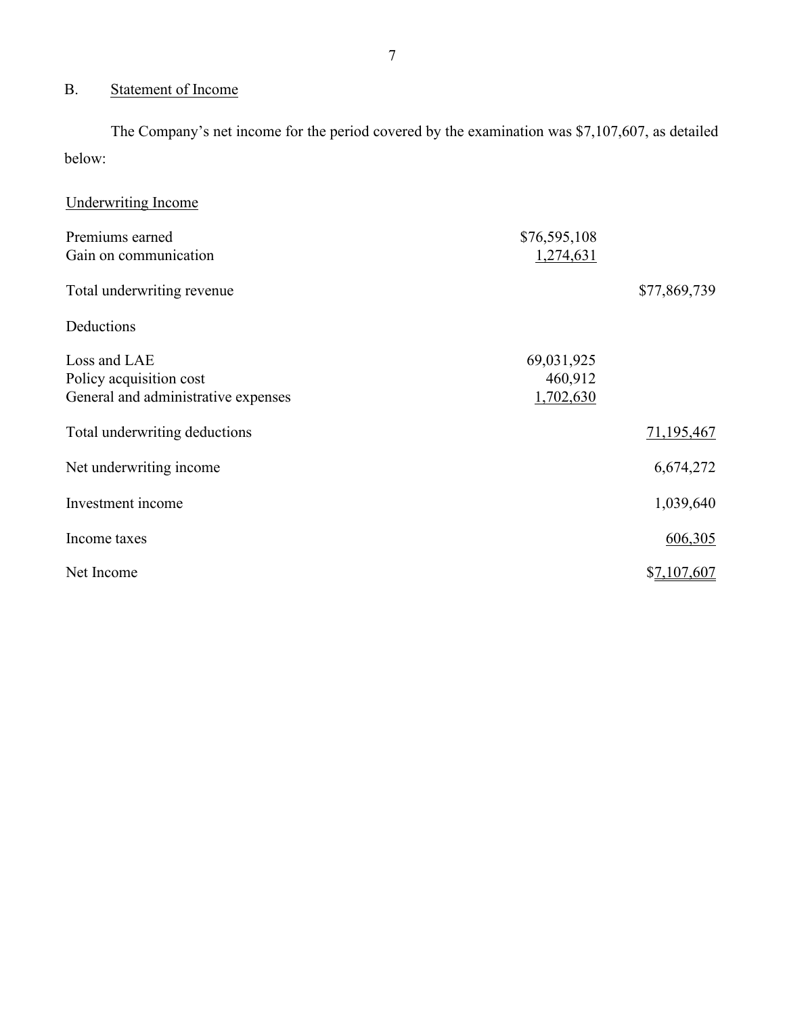## B. Statement of Income

 The Company's net income for the period covered by the examination was \$7,107,607, as detailed below:

| Underwriting Income                 |              |              |
|-------------------------------------|--------------|--------------|
| Premiums earned                     | \$76,595,108 |              |
| Gain on communication               | 1,274,631    |              |
| Total underwriting revenue          |              | \$77,869,739 |
| Deductions                          |              |              |
| Loss and LAE                        | 69,031,925   |              |
| Policy acquisition cost             | 460,912      |              |
| General and administrative expenses | 1,702,630    |              |
| Total underwriting deductions       |              | 71,195,467   |
| Net underwriting income             |              | 6,674,272    |
| Investment income                   |              | 1,039,640    |
| Income taxes                        |              | 606,305      |
| Net Income                          |              | \$7,107,607  |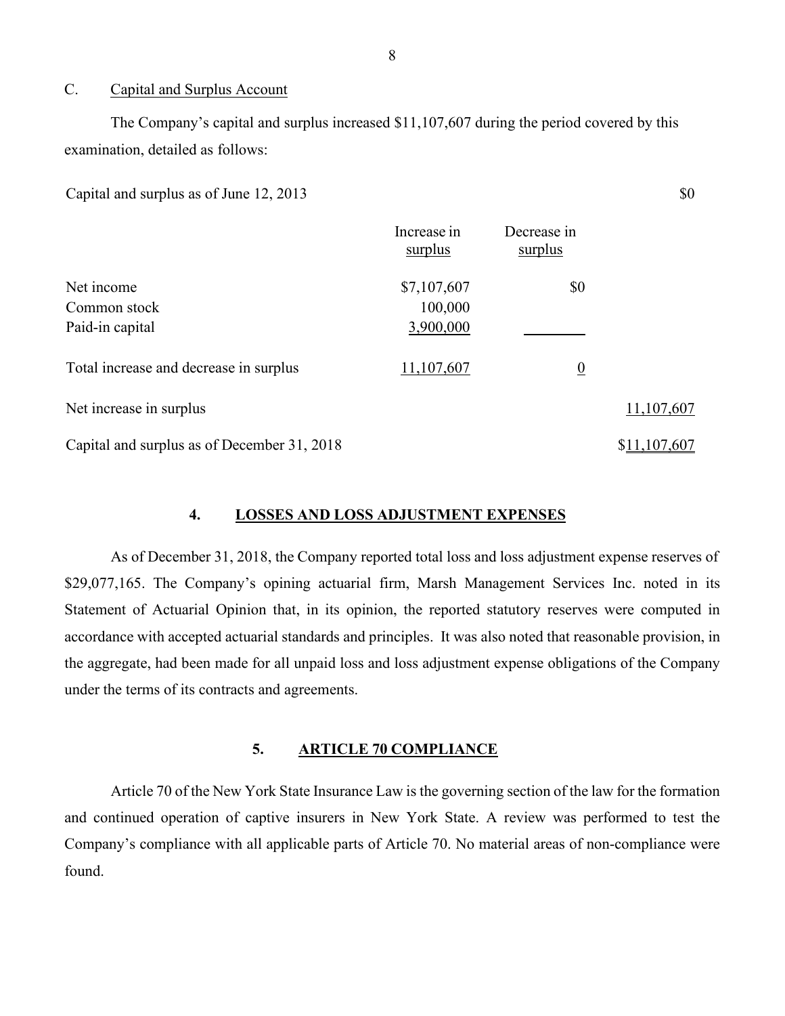## C. Capital and Surplus Account

 examination, detailed as follows: The Company's capital and surplus increased \$11,107,607 during the period covered by this

Capital and surplus as of June  $12, 2013$   $\$0$ 

|                                             | Increase in<br>surplus | Decrease in<br>surplus |              |
|---------------------------------------------|------------------------|------------------------|--------------|
| Net income                                  | \$7,107,607            | \$0                    |              |
| Common stock                                | 100,000                |                        |              |
| Paid-in capital                             | 3,900,000              |                        |              |
| Total increase and decrease in surplus      | 11,107,607             | $\overline{0}$         |              |
| Net increase in surplus                     |                        |                        | 11,107,607   |
| Capital and surplus as of December 31, 2018 |                        |                        | \$11,107,607 |

## **4. LOSSES AND LOSS ADJUSTMENT EXPENSES**

 As of December 31, 2018, the Company reported total loss and loss adjustment expense reserves of accordance with accepted actuarial standards and principles. It was also noted that reasonable provision, in under the terms of its contracts and agreements. \$29,077,165. The Company's opining actuarial firm, Marsh Management Services Inc. noted in its Statement of Actuarial Opinion that, in its opinion, the reported statutory reserves were computed in the aggregate, had been made for all unpaid loss and loss adjustment expense obligations of the Company

## **5. ARTICLE 70 COMPLIANCE**

 Article 70 of the New York State Insurance Law is the governing section of the law for the formation and continued operation of captive insurers in New York State. A review was performed to test the Company's compliance with all applicable parts of Article 70. No material areas of non-compliance were found.

8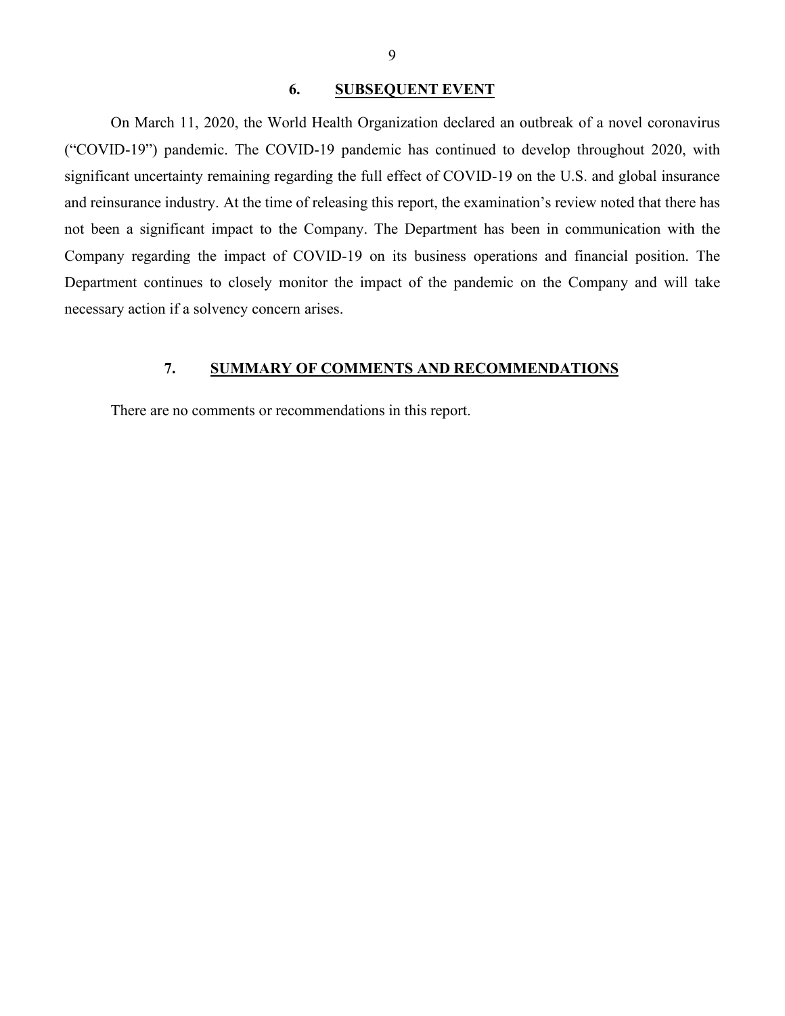## **6. SUBSEQUENT EVENT**

<span id="page-10-0"></span> and reinsurance industry. At the time of releasing this report, the examination's review noted that there has necessary action if a solvency concern arises. On March 11, 2020, the World Health Organization declared an outbreak of a novel coronavirus ("COVID-19") pandemic. The COVID-19 pandemic has continued to develop throughout 2020, with significant uncertainty remaining regarding the full effect of COVID-19 on the U.S. and global insurance not been a significant impact to the Company. The Department has been in communication with the Company regarding the impact of COVID-19 on its business operations and financial position. The Department continues to closely monitor the impact of the pandemic on the Company and will take

## **7. SUMMARY OF COMMENTS AND RECOMMENDATIONS**

There are no comments or recommendations in this report.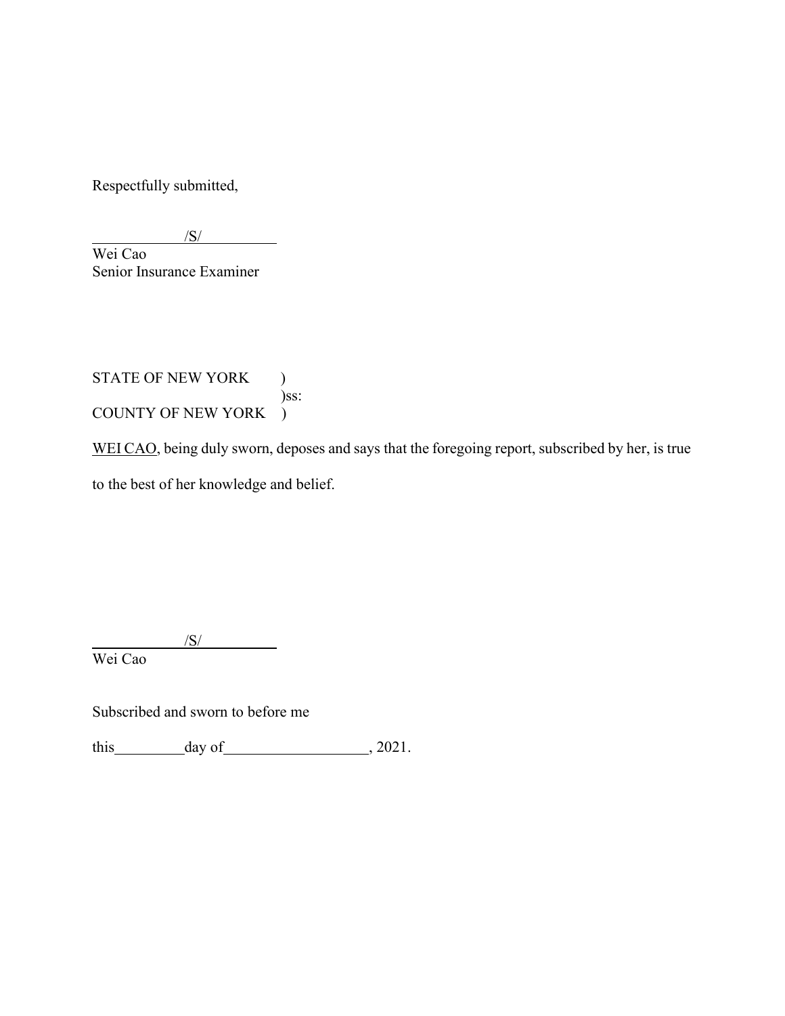Respectfully submitted,

/S/  $\overline{\phantom{a}}$  $\overline{a}$  Wei Cao Senior Insurance Examiner

STATE OF NEW YORK ) COUNTY OF NEW YORK ) )ss:

WEI CAO, being duly sworn, deposes and says that the foregoing report, subscribed by her, is true to the best of her knowledge and belief.

 $\overline{a}$  Wei Cao /S/

Subscribed and sworn to before me

this  $\_\_\_\_\_\_\$  day of  $\_\_\_\_\_\_\_\_\_$ , 2021.